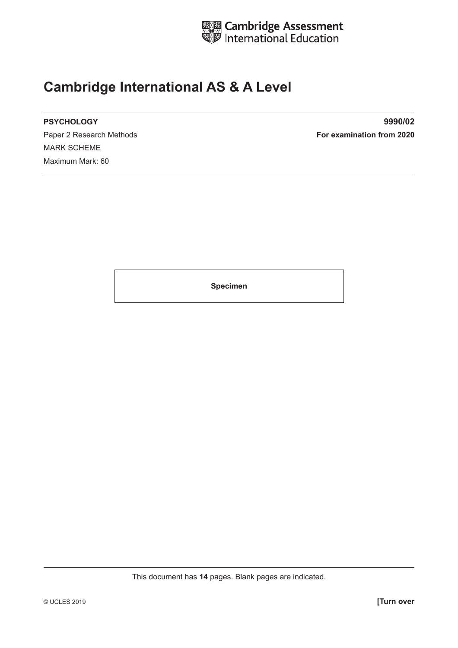

# **Cambridge International AS & A Level**

**PSYCHOLOGY 9990/02** MARK SCHEME Maximum Mark: 60

Paper 2 Research Methods **For examination from 2020** 

**Specimen**

This document has **14** pages. Blank pages are indicated.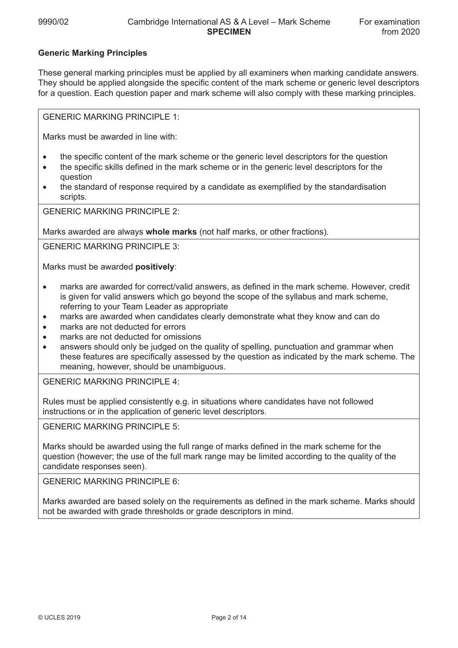#### **Generic Marking Principles**

These general marking principles must be applied by all examiners when marking candidate answers. They should be applied alongside the specific content of the mark scheme or generic level descriptors for a question. Each question paper and mark scheme will also comply with these marking principles.

GENERIC MARKING PRINCIPLE 1:

Marks must be awarded in line with:

- the specific content of the mark scheme or the generic level descriptors for the question
- the specific skills defined in the mark scheme or in the generic level descriptors for the question
- the standard of response required by a candidate as exemplified by the standardisation scripts.

GENERIC MARKING PRINCIPLE 2:

Marks awarded are always **whole marks** (not half marks, or other fractions).

GENERIC MARKING PRINCIPLE 3:

Marks must be awarded **positively**:

- marks are awarded for correct/valid answers, as defined in the mark scheme. However, credit is given for valid answers which go beyond the scope of the syllabus and mark scheme, referring to your Team Leader as appropriate
- marks are awarded when candidates clearly demonstrate what they know and can do
- marks are not deducted for errors
- marks are not deducted for omissions
- answers should only be judged on the quality of spelling, punctuation and grammar when these features are specifically assessed by the question as indicated by the mark scheme. The meaning, however, should be unambiguous.

GENERIC MARKING PRINCIPLE 4:

Rules must be applied consistently e.g. in situations where candidates have not followed instructions or in the application of generic level descriptors.

GENERIC MARKING PRINCIPLE 5:

Marks should be awarded using the full range of marks defined in the mark scheme for the question (however; the use of the full mark range may be limited according to the quality of the candidate responses seen).

GENERIC MARKING PRINCIPLE 6:

Marks awarded are based solely on the requirements as defined in the mark scheme. Marks should not be awarded with grade thresholds or grade descriptors in mind.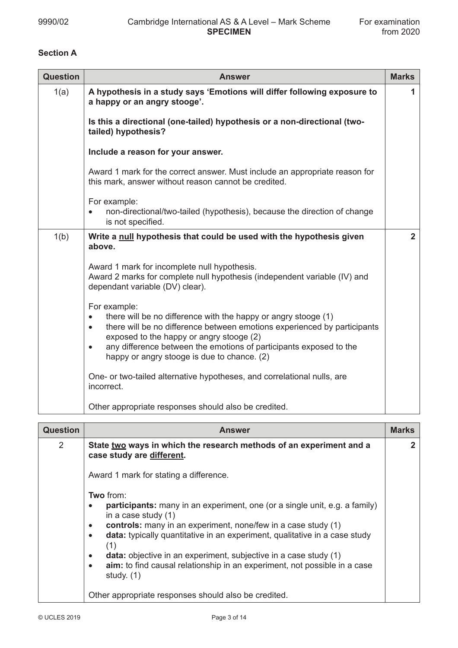## **Section A**

| <b>Question</b> | <b>Answer</b>                                                                                                                                                                                                                                                                                                                                                      | <b>Marks</b>   |
|-----------------|--------------------------------------------------------------------------------------------------------------------------------------------------------------------------------------------------------------------------------------------------------------------------------------------------------------------------------------------------------------------|----------------|
| 1(a)            | A hypothesis in a study says 'Emotions will differ following exposure to<br>a happy or an angry stooge'.                                                                                                                                                                                                                                                           | 1              |
|                 | Is this a directional (one-tailed) hypothesis or a non-directional (two-<br>tailed) hypothesis?                                                                                                                                                                                                                                                                    |                |
|                 | Include a reason for your answer.                                                                                                                                                                                                                                                                                                                                  |                |
|                 | Award 1 mark for the correct answer. Must include an appropriate reason for<br>this mark, answer without reason cannot be credited.                                                                                                                                                                                                                                |                |
|                 | For example:                                                                                                                                                                                                                                                                                                                                                       |                |
|                 | non-directional/two-tailed (hypothesis), because the direction of change<br>is not specified.                                                                                                                                                                                                                                                                      |                |
| 1(b)            | Write a null hypothesis that could be used with the hypothesis given<br>above.                                                                                                                                                                                                                                                                                     | $\overline{2}$ |
|                 | Award 1 mark for incomplete null hypothesis.<br>Award 2 marks for complete null hypothesis (independent variable (IV) and<br>dependant variable (DV) clear).                                                                                                                                                                                                       |                |
|                 | For example:<br>there will be no difference with the happy or angry stooge (1)<br>$\bullet$<br>there will be no difference between emotions experienced by participants<br>$\bullet$<br>exposed to the happy or angry stooge (2)<br>any difference between the emotions of participants exposed to the<br>$\bullet$<br>happy or angry stooge is due to chance. (2) |                |
|                 | One- or two-tailed alternative hypotheses, and correlational nulls, are<br>incorrect.                                                                                                                                                                                                                                                                              |                |
|                 | Other appropriate responses should also be credited.                                                                                                                                                                                                                                                                                                               |                |

| <b>Question</b> | <b>Answer</b>                                                                                                                                                                                                                                                                                                                                                                                                                                                                                | <b>Marks</b> |
|-----------------|----------------------------------------------------------------------------------------------------------------------------------------------------------------------------------------------------------------------------------------------------------------------------------------------------------------------------------------------------------------------------------------------------------------------------------------------------------------------------------------------|--------------|
| 2               | State two ways in which the research methods of an experiment and a<br>case study are different.                                                                                                                                                                                                                                                                                                                                                                                             |              |
|                 | Award 1 mark for stating a difference.                                                                                                                                                                                                                                                                                                                                                                                                                                                       |              |
|                 | <b>Two from:</b><br><b>participants:</b> many in an experiment, one (or a single unit, e.g. a family)<br>in a case study $(1)$<br>controls: many in an experiment, none/few in a case study (1)<br>data: typically quantitative in an experiment, qualitative in a case study<br>$\bullet$<br>(1)<br>data: objective in an experiment, subjective in a case study (1)<br>$\bullet$<br>aim: to find causal relationship in an experiment, not possible in a case<br>$\bullet$<br>study. $(1)$ |              |
|                 | Other appropriate responses should also be credited.                                                                                                                                                                                                                                                                                                                                                                                                                                         |              |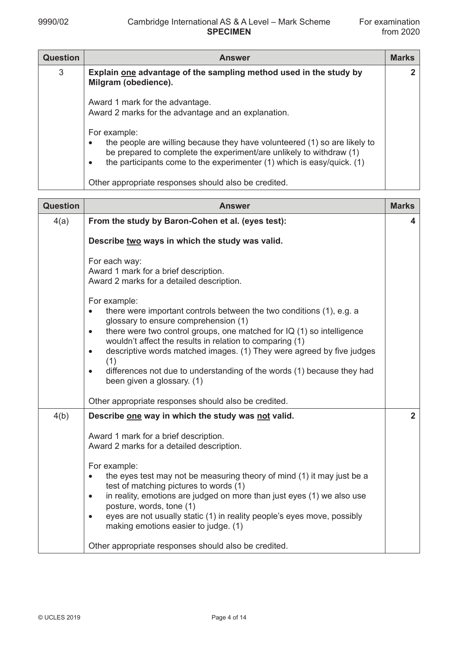| <b>Question</b> | <b>Answer</b>                                                                                                                                                                                                                                                    | <b>Marks</b> |
|-----------------|------------------------------------------------------------------------------------------------------------------------------------------------------------------------------------------------------------------------------------------------------------------|--------------|
| 3               | Explain one advantage of the sampling method used in the study by<br>Milgram (obedience).                                                                                                                                                                        | $\mathbf{2}$ |
|                 | Award 1 mark for the advantage.<br>Award 2 marks for the advantage and an explanation.                                                                                                                                                                           |              |
|                 | For example:<br>the people are willing because they have volunteered (1) so are likely to<br>٠<br>be prepared to complete the experiment/are unlikely to withdraw (1)<br>the participants come to the experimenter $(1)$ which is easy/quick. $(1)$<br>$\bullet$ |              |
|                 | Other appropriate responses should also be credited.                                                                                                                                                                                                             |              |

| <b>Question</b> | <b>Answer</b>                                                                                                                                                                                                                                                                                                                                                                                                                                                                                                 | <b>Marks</b>   |
|-----------------|---------------------------------------------------------------------------------------------------------------------------------------------------------------------------------------------------------------------------------------------------------------------------------------------------------------------------------------------------------------------------------------------------------------------------------------------------------------------------------------------------------------|----------------|
| 4(a)            | From the study by Baron-Cohen et al. (eyes test):                                                                                                                                                                                                                                                                                                                                                                                                                                                             | 4              |
|                 | Describe two ways in which the study was valid.                                                                                                                                                                                                                                                                                                                                                                                                                                                               |                |
|                 | For each way:<br>Award 1 mark for a brief description.<br>Award 2 marks for a detailed description.                                                                                                                                                                                                                                                                                                                                                                                                           |                |
|                 | For example:<br>there were important controls between the two conditions (1), e.g. a<br>$\bullet$<br>glossary to ensure comprehension (1)<br>there were two control groups, one matched for IQ (1) so intelligence<br>$\bullet$<br>wouldn't affect the results in relation to comparing (1)<br>descriptive words matched images. (1) They were agreed by five judges<br>$\bullet$<br>(1)<br>differences not due to understanding of the words (1) because they had<br>$\bullet$<br>been given a glossary. (1) |                |
|                 | Other appropriate responses should also be credited.                                                                                                                                                                                                                                                                                                                                                                                                                                                          |                |
| 4(b)            | Describe one way in which the study was not valid.                                                                                                                                                                                                                                                                                                                                                                                                                                                            | $\overline{2}$ |
|                 | Award 1 mark for a brief description.<br>Award 2 marks for a detailed description.<br>For example:<br>the eyes test may not be measuring theory of mind (1) it may just be a<br>$\bullet$<br>test of matching pictures to words (1)<br>in reality, emotions are judged on more than just eyes (1) we also use<br>$\bullet$<br>posture, words, tone (1)<br>eyes are not usually static (1) in reality people's eyes move, possibly<br>$\bullet$<br>making emotions easier to judge. (1)                        |                |
|                 | Other appropriate responses should also be credited.                                                                                                                                                                                                                                                                                                                                                                                                                                                          |                |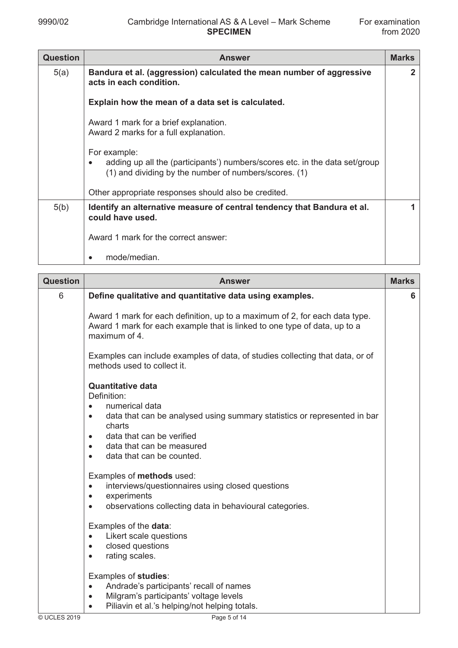| <b>Question</b> | <b>Answer</b>                                                                                                                                        | <b>Marks</b> |
|-----------------|------------------------------------------------------------------------------------------------------------------------------------------------------|--------------|
| 5(a)            | Bandura et al. (aggression) calculated the mean number of aggressive<br>acts in each condition.                                                      | 2            |
|                 | Explain how the mean of a data set is calculated.                                                                                                    |              |
|                 | Award 1 mark for a brief explanation.<br>Award 2 marks for a full explanation.                                                                       |              |
|                 | For example:<br>adding up all the (participants') numbers/scores etc. in the data set/group<br>(1) and dividing by the number of numbers/scores. (1) |              |
|                 | Other appropriate responses should also be credited.                                                                                                 |              |
| 5(b)            | Identify an alternative measure of central tendency that Bandura et al.<br>could have used.                                                          |              |
|                 | Award 1 mark for the correct answer:                                                                                                                 |              |
|                 | mode/median.<br>$\bullet$                                                                                                                            |              |

| <b>Question</b> | <b>Answer</b>                                                                                                                                                                                                                                                                                                                                                                                                                     | <b>Marks</b> |
|-----------------|-----------------------------------------------------------------------------------------------------------------------------------------------------------------------------------------------------------------------------------------------------------------------------------------------------------------------------------------------------------------------------------------------------------------------------------|--------------|
| 6               | Define qualitative and quantitative data using examples.                                                                                                                                                                                                                                                                                                                                                                          | 6            |
|                 | Award 1 mark for each definition, up to a maximum of 2, for each data type.<br>Award 1 mark for each example that is linked to one type of data, up to a<br>maximum of 4.                                                                                                                                                                                                                                                         |              |
|                 | Examples can include examples of data, of studies collecting that data, or of<br>methods used to collect it.                                                                                                                                                                                                                                                                                                                      |              |
|                 | <b>Quantitative data</b><br>Definition:<br>numerical data<br>$\bullet$<br>data that can be analysed using summary statistics or represented in bar<br>$\bullet$<br>charts<br>data that can be verified<br>$\bullet$<br>data that can be measured<br>$\bullet$<br>data that can be counted.<br>$\bullet$<br>Examples of methods used:<br>interviews/questionnaires using closed questions<br>$\bullet$<br>experiments<br>$\bullet$ |              |
|                 | observations collecting data in behavioural categories.<br>$\bullet$<br>Examples of the data:<br>Likert scale questions<br>$\bullet$<br>closed questions<br>$\bullet$<br>rating scales.<br>$\bullet$<br>Examples of studies:<br>Andrade's participants' recall of names<br>$\bullet$<br>Milgram's participants' voltage levels<br>$\bullet$<br>Piliavin et al.'s helping/not helping totals.<br>$\bullet$                         |              |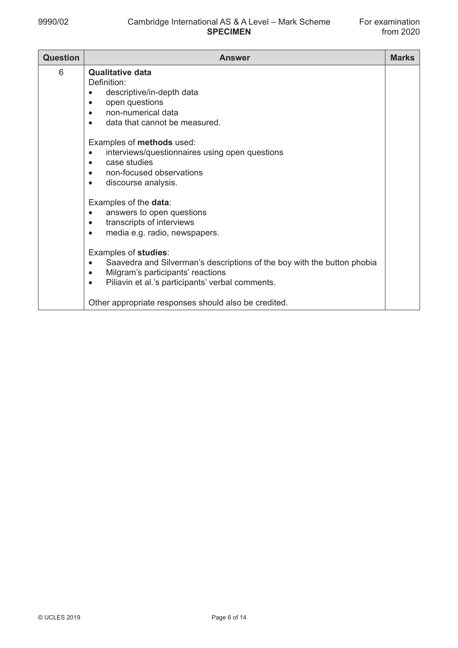| <b>Question</b> | <b>Answer</b>                                                                                                                                                                                                                                                                                                                                                                                                                                                                          | <b>Marks</b> |
|-----------------|----------------------------------------------------------------------------------------------------------------------------------------------------------------------------------------------------------------------------------------------------------------------------------------------------------------------------------------------------------------------------------------------------------------------------------------------------------------------------------------|--------------|
| 6               | <b>Qualitative data</b><br>Definition:<br>descriptive/in-depth data<br>open questions<br>$\bullet$<br>non-numerical data<br>$\bullet$<br>data that cannot be measured.<br>$\bullet$<br>Examples of methods used:<br>interviews/questionnaires using open questions<br>$\bullet$<br>case studies<br>$\bullet$<br>non-focused observations<br>$\bullet$                                                                                                                                  |              |
|                 | discourse analysis.<br>$\bullet$<br>Examples of the data:<br>answers to open questions<br>$\bullet$<br>transcripts of interviews<br>$\bullet$<br>media e.g. radio, newspapers.<br>$\bullet$<br>Examples of studies:<br>Saavedra and Silverman's descriptions of the boy with the button phobia<br>$\bullet$<br>Milgram's participants' reactions<br>$\bullet$<br>Piliavin et al.'s participants' verbal comments.<br>$\bullet$<br>Other appropriate responses should also be credited. |              |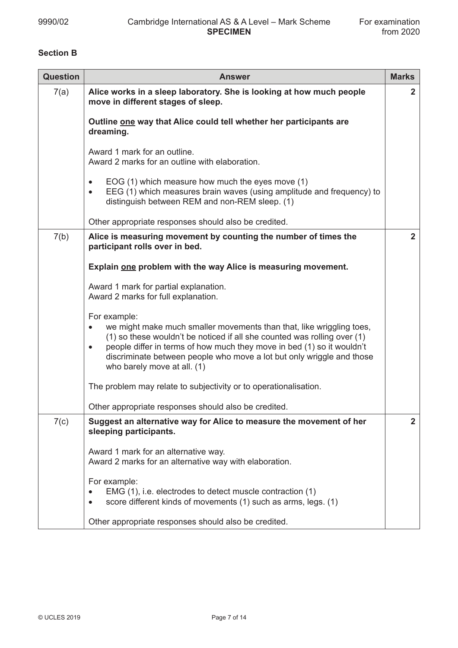## **Section B**

| <b>Question</b> | <b>Answer</b>                                                                                                                                                                                                                                                                                                                                                                | <b>Marks</b>            |
|-----------------|------------------------------------------------------------------------------------------------------------------------------------------------------------------------------------------------------------------------------------------------------------------------------------------------------------------------------------------------------------------------------|-------------------------|
| 7(a)            | Alice works in a sleep laboratory. She is looking at how much people<br>move in different stages of sleep.                                                                                                                                                                                                                                                                   | $\overline{2}$          |
|                 | Outline one way that Alice could tell whether her participants are<br>dreaming.                                                                                                                                                                                                                                                                                              |                         |
|                 | Award 1 mark for an outline.<br>Award 2 marks for an outline with elaboration.                                                                                                                                                                                                                                                                                               |                         |
|                 | EOG (1) which measure how much the eyes move (1)<br>$\bullet$<br>EEG (1) which measures brain waves (using amplitude and frequency) to<br>$\bullet$<br>distinguish between REM and non-REM sleep. (1)                                                                                                                                                                        |                         |
|                 | Other appropriate responses should also be credited.                                                                                                                                                                                                                                                                                                                         |                         |
| 7(b)            | Alice is measuring movement by counting the number of times the<br>participant rolls over in bed.                                                                                                                                                                                                                                                                            | $\overline{2}$          |
|                 | Explain one problem with the way Alice is measuring movement.                                                                                                                                                                                                                                                                                                                |                         |
|                 | Award 1 mark for partial explanation.<br>Award 2 marks for full explanation.                                                                                                                                                                                                                                                                                                 |                         |
|                 | For example:<br>we might make much smaller movements than that, like wriggling toes,<br>$\bullet$<br>(1) so these wouldn't be noticed if all she counted was rolling over (1)<br>people differ in terms of how much they move in bed (1) so it wouldn't<br>$\bullet$<br>discriminate between people who move a lot but only wriggle and those<br>who barely move at all. (1) |                         |
|                 | The problem may relate to subjectivity or to operationalisation.                                                                                                                                                                                                                                                                                                             |                         |
|                 | Other appropriate responses should also be credited.                                                                                                                                                                                                                                                                                                                         |                         |
| 7(c)            | Suggest an alternative way for Alice to measure the movement of her<br>sleeping participants.                                                                                                                                                                                                                                                                                | $\overline{\mathbf{2}}$ |
|                 | Award 1 mark for an alternative way.<br>Award 2 marks for an alternative way with elaboration.                                                                                                                                                                                                                                                                               |                         |
|                 | For example:<br>EMG (1), i.e. electrodes to detect muscle contraction (1)<br>$\bullet$<br>score different kinds of movements (1) such as arms, legs. (1)<br>٠                                                                                                                                                                                                                |                         |
|                 | Other appropriate responses should also be credited.                                                                                                                                                                                                                                                                                                                         |                         |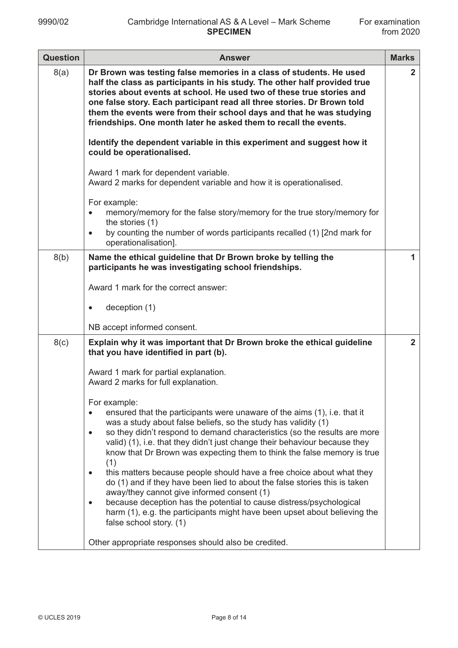| <b>Question</b> | <b>Answer</b>                                                                                                                                                                                                                                                                                                                                                                                                                                                                                                                                                                                                                                                                                                                                                                                                                      | <b>Marks</b>   |
|-----------------|------------------------------------------------------------------------------------------------------------------------------------------------------------------------------------------------------------------------------------------------------------------------------------------------------------------------------------------------------------------------------------------------------------------------------------------------------------------------------------------------------------------------------------------------------------------------------------------------------------------------------------------------------------------------------------------------------------------------------------------------------------------------------------------------------------------------------------|----------------|
| 8(a)            | Dr Brown was testing false memories in a class of students. He used<br>half the class as participants in his study. The other half provided true<br>stories about events at school. He used two of these true stories and<br>one false story. Each participant read all three stories. Dr Brown told<br>them the events were from their school days and that he was studying<br>friendships. One month later he asked them to recall the events.                                                                                                                                                                                                                                                                                                                                                                                   | $\mathbf{2}$   |
|                 | Identify the dependent variable in this experiment and suggest how it<br>could be operationalised.                                                                                                                                                                                                                                                                                                                                                                                                                                                                                                                                                                                                                                                                                                                                 |                |
|                 | Award 1 mark for dependent variable.<br>Award 2 marks for dependent variable and how it is operationalised.                                                                                                                                                                                                                                                                                                                                                                                                                                                                                                                                                                                                                                                                                                                        |                |
|                 | For example:<br>memory/memory for the false story/memory for the true story/memory for<br>$\bullet$<br>the stories (1)                                                                                                                                                                                                                                                                                                                                                                                                                                                                                                                                                                                                                                                                                                             |                |
|                 | by counting the number of words participants recalled (1) [2nd mark for<br>$\bullet$<br>operationalisation].                                                                                                                                                                                                                                                                                                                                                                                                                                                                                                                                                                                                                                                                                                                       |                |
| 8(b)            | Name the ethical guideline that Dr Brown broke by telling the<br>participants he was investigating school friendships.                                                                                                                                                                                                                                                                                                                                                                                                                                                                                                                                                                                                                                                                                                             | 1              |
|                 | Award 1 mark for the correct answer:                                                                                                                                                                                                                                                                                                                                                                                                                                                                                                                                                                                                                                                                                                                                                                                               |                |
|                 | deception (1)<br>$\bullet$                                                                                                                                                                                                                                                                                                                                                                                                                                                                                                                                                                                                                                                                                                                                                                                                         |                |
|                 | NB accept informed consent.                                                                                                                                                                                                                                                                                                                                                                                                                                                                                                                                                                                                                                                                                                                                                                                                        |                |
| 8(c)            | Explain why it was important that Dr Brown broke the ethical guideline<br>that you have identified in part (b).                                                                                                                                                                                                                                                                                                                                                                                                                                                                                                                                                                                                                                                                                                                    | $\overline{2}$ |
|                 | Award 1 mark for partial explanation.<br>Award 2 marks for full explanation.                                                                                                                                                                                                                                                                                                                                                                                                                                                                                                                                                                                                                                                                                                                                                       |                |
|                 | For example:<br>ensured that the participants were unaware of the aims (1), i.e. that it<br>was a study about false beliefs, so the study has validity (1)<br>so they didn't respond to demand characteristics (so the results are more<br>$\bullet$<br>valid) (1), i.e. that they didn't just change their behaviour because they<br>know that Dr Brown was expecting them to think the false memory is true<br>(1)<br>this matters because people should have a free choice about what they<br>$\bullet$<br>do (1) and if they have been lied to about the false stories this is taken<br>away/they cannot give informed consent (1)<br>because deception has the potential to cause distress/psychological<br>$\bullet$<br>harm (1), e.g. the participants might have been upset about believing the<br>false school story. (1) |                |
|                 | Other appropriate responses should also be credited.                                                                                                                                                                                                                                                                                                                                                                                                                                                                                                                                                                                                                                                                                                                                                                               |                |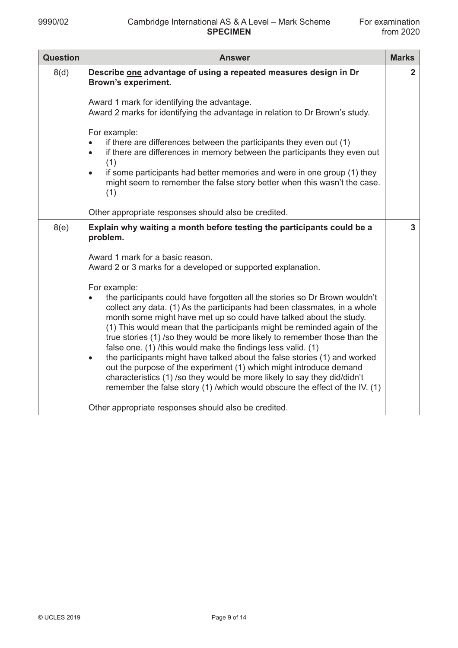| <b>Question</b> | <b>Answer</b>                                                                                                                                                                                                                                                                                                                                                                                                                                                                                                                                                                                                                                                                                                                                                                                     | <b>Marks</b>   |
|-----------------|---------------------------------------------------------------------------------------------------------------------------------------------------------------------------------------------------------------------------------------------------------------------------------------------------------------------------------------------------------------------------------------------------------------------------------------------------------------------------------------------------------------------------------------------------------------------------------------------------------------------------------------------------------------------------------------------------------------------------------------------------------------------------------------------------|----------------|
| 8(d)            | Describe one advantage of using a repeated measures design in Dr<br><b>Brown's experiment.</b>                                                                                                                                                                                                                                                                                                                                                                                                                                                                                                                                                                                                                                                                                                    | $\overline{2}$ |
|                 | Award 1 mark for identifying the advantage.<br>Award 2 marks for identifying the advantage in relation to Dr Brown's study.                                                                                                                                                                                                                                                                                                                                                                                                                                                                                                                                                                                                                                                                       |                |
|                 | For example:<br>if there are differences between the participants they even out (1)<br>$\bullet$<br>if there are differences in memory between the participants they even out<br>$\bullet$<br>(1)<br>if some participants had better memories and were in one group (1) they<br>$\bullet$<br>might seem to remember the false story better when this wasn't the case.<br>(1)                                                                                                                                                                                                                                                                                                                                                                                                                      |                |
|                 | Other appropriate responses should also be credited.                                                                                                                                                                                                                                                                                                                                                                                                                                                                                                                                                                                                                                                                                                                                              |                |
| 8(e)            | Explain why waiting a month before testing the participants could be a<br>problem.<br>Award 1 mark for a basic reason.<br>Award 2 or 3 marks for a developed or supported explanation.                                                                                                                                                                                                                                                                                                                                                                                                                                                                                                                                                                                                            | $\mathbf{3}$   |
|                 | For example:<br>the participants could have forgotten all the stories so Dr Brown wouldn't<br>collect any data. (1) As the participants had been classmates, in a whole<br>month some might have met up so could have talked about the study.<br>(1) This would mean that the participants might be reminded again of the<br>true stories (1) /so they would be more likely to remember those than the<br>false one. (1) /this would make the findings less valid. (1)<br>the participants might have talked about the false stories (1) and worked<br>$\bullet$<br>out the purpose of the experiment (1) which might introduce demand<br>characteristics (1) /so they would be more likely to say they did/didn't<br>remember the false story (1) /which would obscure the effect of the IV. (1) |                |
|                 | Other appropriate responses should also be credited.                                                                                                                                                                                                                                                                                                                                                                                                                                                                                                                                                                                                                                                                                                                                              |                |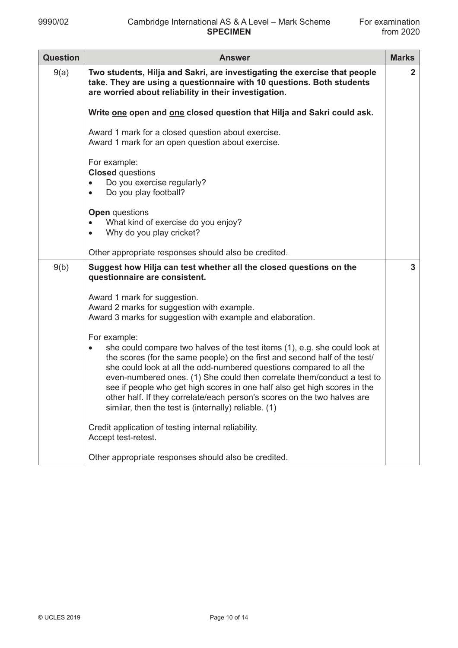| <b>Question</b> | <b>Answer</b>                                                                                                                                                                                                                                                                                                                                                                                                                                                                                                                                                                                                                                                                                                                                        | <b>Marks</b> |
|-----------------|------------------------------------------------------------------------------------------------------------------------------------------------------------------------------------------------------------------------------------------------------------------------------------------------------------------------------------------------------------------------------------------------------------------------------------------------------------------------------------------------------------------------------------------------------------------------------------------------------------------------------------------------------------------------------------------------------------------------------------------------------|--------------|
| 9(a)            | Two students, Hilja and Sakri, are investigating the exercise that people<br>take. They are using a questionnaire with 10 questions. Both students<br>are worried about reliability in their investigation.                                                                                                                                                                                                                                                                                                                                                                                                                                                                                                                                          | $\mathbf{2}$ |
|                 | Write one open and one closed question that Hilja and Sakri could ask.                                                                                                                                                                                                                                                                                                                                                                                                                                                                                                                                                                                                                                                                               |              |
|                 | Award 1 mark for a closed question about exercise.<br>Award 1 mark for an open question about exercise.                                                                                                                                                                                                                                                                                                                                                                                                                                                                                                                                                                                                                                              |              |
|                 | For example:<br><b>Closed</b> questions<br>Do you exercise regularly?<br>Do you play football?<br>$\bullet$                                                                                                                                                                                                                                                                                                                                                                                                                                                                                                                                                                                                                                          |              |
|                 | <b>Open</b> questions<br>What kind of exercise do you enjoy?<br>$\bullet$<br>Why do you play cricket?<br>$\bullet$                                                                                                                                                                                                                                                                                                                                                                                                                                                                                                                                                                                                                                   |              |
|                 | Other appropriate responses should also be credited.                                                                                                                                                                                                                                                                                                                                                                                                                                                                                                                                                                                                                                                                                                 |              |
| 9(b)            | Suggest how Hilja can test whether all the closed questions on the<br>questionnaire are consistent.<br>Award 1 mark for suggestion.<br>Award 2 marks for suggestion with example.<br>Award 3 marks for suggestion with example and elaboration.<br>For example:<br>she could compare two halves of the test items (1), e.g. she could look at<br>$\bullet$<br>the scores (for the same people) on the first and second half of the test/<br>she could look at all the odd-numbered questions compared to all the<br>even-numbered ones. (1) She could then correlate them/conduct a test to<br>see if people who get high scores in one half also get high scores in the<br>other half. If they correlate/each person's scores on the two halves are | $\mathbf{3}$ |
|                 | similar, then the test is (internally) reliable. (1)                                                                                                                                                                                                                                                                                                                                                                                                                                                                                                                                                                                                                                                                                                 |              |
|                 | Credit application of testing internal reliability.<br>Accept test-retest.                                                                                                                                                                                                                                                                                                                                                                                                                                                                                                                                                                                                                                                                           |              |
|                 | Other appropriate responses should also be credited.                                                                                                                                                                                                                                                                                                                                                                                                                                                                                                                                                                                                                                                                                                 |              |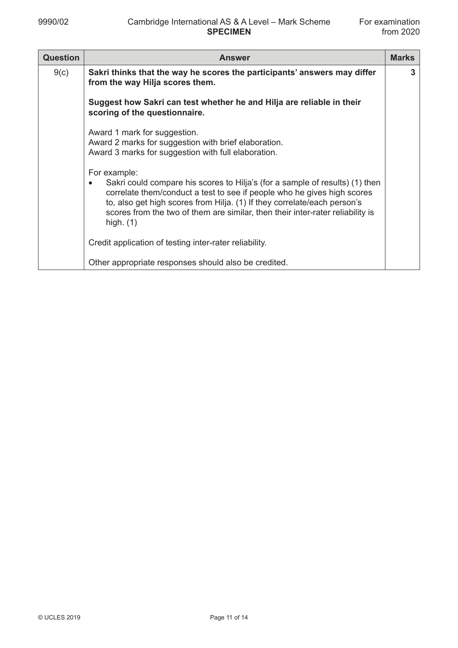| <b>Question</b> | <b>Answer</b>                                                                                                                                                                                                                                                                                                                                                     | <b>Marks</b> |
|-----------------|-------------------------------------------------------------------------------------------------------------------------------------------------------------------------------------------------------------------------------------------------------------------------------------------------------------------------------------------------------------------|--------------|
| 9(c)            | Sakri thinks that the way he scores the participants' answers may differ<br>from the way Hilja scores them.                                                                                                                                                                                                                                                       | 3            |
|                 | Suggest how Sakri can test whether he and Hilja are reliable in their<br>scoring of the questionnaire.                                                                                                                                                                                                                                                            |              |
|                 | Award 1 mark for suggestion.<br>Award 2 marks for suggestion with brief elaboration.<br>Award 3 marks for suggestion with full elaboration.                                                                                                                                                                                                                       |              |
|                 | For example:<br>Sakri could compare his scores to Hilja's (for a sample of results) (1) then<br>$\bullet$<br>correlate them/conduct a test to see if people who he gives high scores<br>to, also get high scores from Hilja. (1) If they correlate/each person's<br>scores from the two of them are similar, then their inter-rater reliability is<br>high. $(1)$ |              |
|                 | Credit application of testing inter-rater reliability.                                                                                                                                                                                                                                                                                                            |              |
|                 | Other appropriate responses should also be credited.                                                                                                                                                                                                                                                                                                              |              |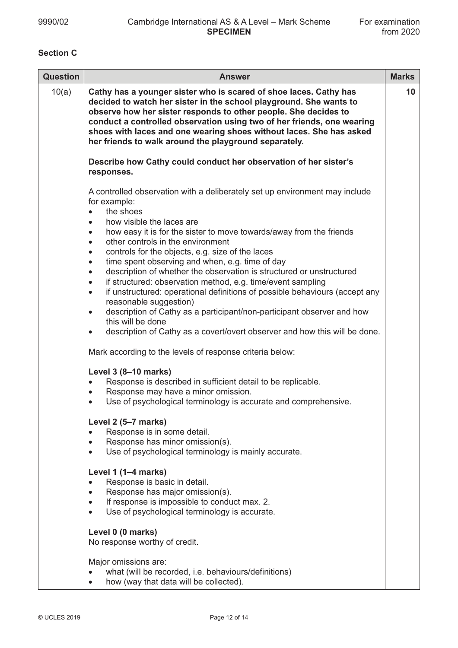## **Section C**

| <b>Question</b> | <b>Answer</b>                                                                                                                                                                                                                                                                                                                                                                                                                                | <b>Marks</b>    |
|-----------------|----------------------------------------------------------------------------------------------------------------------------------------------------------------------------------------------------------------------------------------------------------------------------------------------------------------------------------------------------------------------------------------------------------------------------------------------|-----------------|
| 10(a)           | Cathy has a younger sister who is scared of shoe laces. Cathy has<br>decided to watch her sister in the school playground. She wants to<br>observe how her sister responds to other people. She decides to<br>conduct a controlled observation using two of her friends, one wearing<br>shoes with laces and one wearing shoes without laces. She has asked<br>her friends to walk around the playground separately.                         | 10 <sup>°</sup> |
|                 | Describe how Cathy could conduct her observation of her sister's<br>responses.                                                                                                                                                                                                                                                                                                                                                               |                 |
|                 | A controlled observation with a deliberately set up environment may include<br>for example:<br>the shoes<br>$\bullet$<br>how visible the laces are<br>$\bullet$<br>how easy it is for the sister to move towards/away from the friends<br>$\bullet$                                                                                                                                                                                          |                 |
|                 | other controls in the environment<br>$\bullet$<br>controls for the objects, e.g. size of the laces<br>$\bullet$<br>time spent observing and when, e.g. time of day<br>$\bullet$<br>description of whether the observation is structured or unstructured<br>$\bullet$<br>if structured: observation method, e.g. time/event sampling<br>$\bullet$<br>if unstructured: operational definitions of possible behaviours (accept any<br>$\bullet$ |                 |
|                 | reasonable suggestion)<br>description of Cathy as a participant/non-participant observer and how<br>$\bullet$<br>this will be done<br>description of Cathy as a covert/overt observer and how this will be done.<br>$\bullet$                                                                                                                                                                                                                |                 |
|                 | Mark according to the levels of response criteria below:                                                                                                                                                                                                                                                                                                                                                                                     |                 |
|                 | Level 3 (8-10 marks)<br>Response is described in sufficient detail to be replicable.<br>$\bullet$<br>Response may have a minor omission.<br>$\bullet$<br>Use of psychological terminology is accurate and comprehensive.<br>$\bullet$                                                                                                                                                                                                        |                 |
|                 | Level 2 (5-7 marks)<br>Response is in some detail.<br>$\bullet$<br>Response has minor omission(s).<br>$\bullet$<br>Use of psychological terminology is mainly accurate.<br>$\bullet$                                                                                                                                                                                                                                                         |                 |
|                 | Level 1 (1-4 marks)<br>Response is basic in detail.<br>$\bullet$<br>Response has major omission(s).<br>$\bullet$<br>If response is impossible to conduct max. 2.<br>Use of psychological terminology is accurate.<br>$\bullet$                                                                                                                                                                                                               |                 |
|                 | Level 0 (0 marks)<br>No response worthy of credit.                                                                                                                                                                                                                                                                                                                                                                                           |                 |
|                 | Major omissions are:<br>what (will be recorded, i.e. behaviours/definitions)<br>$\bullet$<br>how (way that data will be collected).<br>$\bullet$                                                                                                                                                                                                                                                                                             |                 |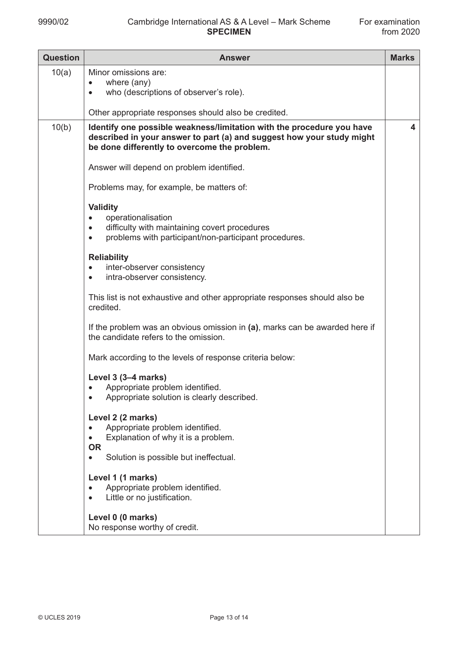| <b>Question</b> | <b>Answer</b>                                                                                                                                                                                  | <b>Marks</b> |
|-----------------|------------------------------------------------------------------------------------------------------------------------------------------------------------------------------------------------|--------------|
| 10(a)           | Minor omissions are:<br>where (any)<br>who (descriptions of observer's role).                                                                                                                  |              |
|                 | Other appropriate responses should also be credited.                                                                                                                                           |              |
| 10(b)           | Identify one possible weakness/limitation with the procedure you have<br>described in your answer to part (a) and suggest how your study might<br>be done differently to overcome the problem. | 4            |
|                 | Answer will depend on problem identified.                                                                                                                                                      |              |
|                 | Problems may, for example, be matters of:                                                                                                                                                      |              |
|                 | <b>Validity</b><br>operationalisation<br>$\bullet$<br>difficulty with maintaining covert procedures<br>$\bullet$<br>problems with participant/non-participant procedures.<br>$\bullet$         |              |
|                 | <b>Reliability</b><br>inter-observer consistency<br>$\bullet$<br>intra-observer consistency.<br>$\bullet$                                                                                      |              |
|                 | This list is not exhaustive and other appropriate responses should also be<br>credited.                                                                                                        |              |
|                 | If the problem was an obvious omission in (a), marks can be awarded here if<br>the candidate refers to the omission.                                                                           |              |
|                 | Mark according to the levels of response criteria below:                                                                                                                                       |              |
|                 | Level 3 (3-4 marks)<br>Appropriate problem identified.<br>Appropriate solution is clearly described.                                                                                           |              |
|                 | Level 2 (2 marks)<br>Appropriate problem identified.<br>Explanation of why it is a problem.<br><b>OR</b><br>Solution is possible but ineffectual.                                              |              |
|                 | Level 1 (1 marks)<br>Appropriate problem identified.<br>Little or no justification.                                                                                                            |              |
|                 | Level 0 (0 marks)<br>No response worthy of credit.                                                                                                                                             |              |